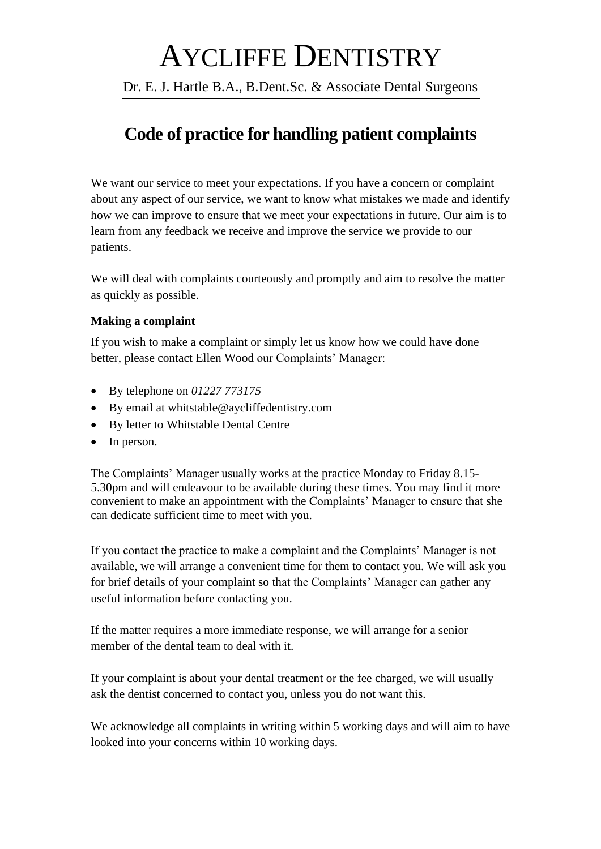# AYCLIFFE DENTISTRY

Dr. E. J. Hartle B.A., B.Dent.Sc. & Associate Dental Surgeons

# **Code of practice for handling patient complaints**

We want our service to meet your expectations. If you have a concern or complaint about any aspect of our service, we want to know what mistakes we made and identify how we can improve to ensure that we meet your expectations in future. Our aim is to learn from any feedback we receive and improve the service we provide to our patients.

We will deal with complaints courteously and promptly and aim to resolve the matter as quickly as possible.

#### **Making a complaint**

If you wish to make a complaint or simply let us know how we could have done better, please contact Ellen Wood our Complaints' Manager:

- By telephone on *01227 773175*
- By email at whitstable@aycliffedentistry.com
- By letter to Whitstable Dental Centre
- In person.

The Complaints' Manager usually works at the practice Monday to Friday 8.15- 5.30pm and will endeavour to be available during these times. You may find it more convenient to make an appointment with the Complaints' Manager to ensure that she can dedicate sufficient time to meet with you.

If you contact the practice to make a complaint and the Complaints' Manager is not available, we will arrange a convenient time for them to contact you. We will ask you for brief details of your complaint so that the Complaints' Manager can gather any useful information before contacting you.

If the matter requires a more immediate response, we will arrange for a senior member of the dental team to deal with it.

If your complaint is about your dental treatment or the fee charged, we will usually ask the dentist concerned to contact you, unless you do not want this.

We acknowledge all complaints in writing within 5 working days and will aim to have looked into your concerns within 10 working days.